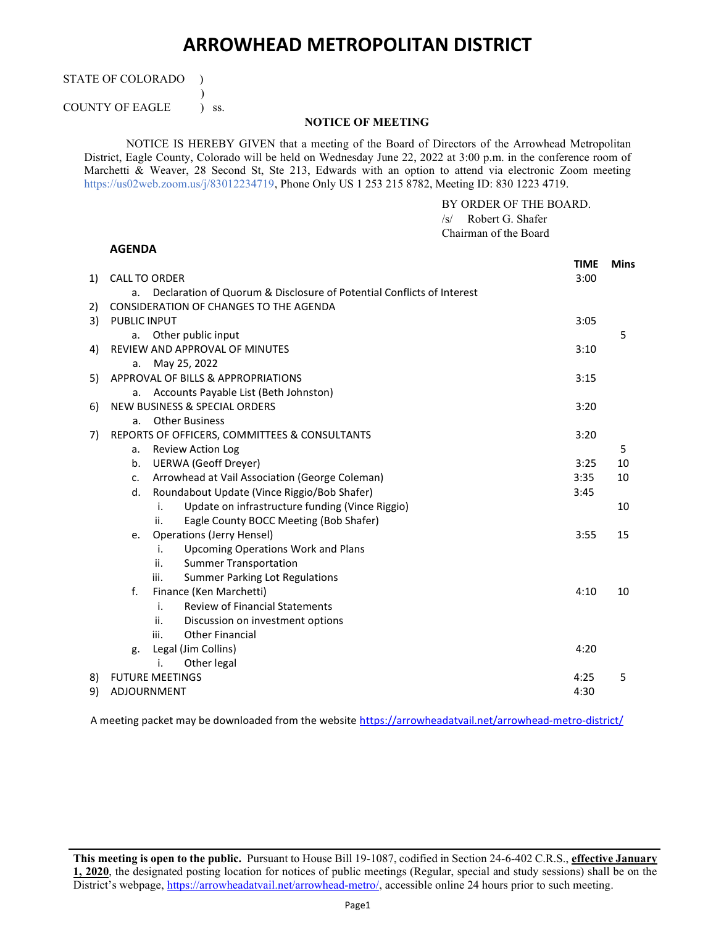## ARROWHEAD METROPOLITAN DISTRICT

STATE OF COLORADO )

 $\overline{\phantom{a}}$ COUNTY OF EAGLE ) ss.

## NOTICE OF MEETING

NOTICE IS HEREBY GIVEN that a meeting of the Board of Directors of the Arrowhead Metropolitan District, Eagle County, Colorado will be held on Wednesday June 22, 2022 at 3:00 p.m. in the conference room of Marchetti & Weaver, 28 Second St, Ste 213, Edwards with an option to attend via electronic Zoom meeting https://us02web.zoom.us/j/83012234719, Phone Only US 1 253 215 8782, Meeting ID: 830 1223 4719.

BY ORDER OF THE BOARD.

/s/ Robert G. Shafer Chairman of the Board AGENDA TIME Mins 1) CALL TO ORDER 3:00 a. Declaration of Quorum & Disclosure of Potential Conflicts of Interest 2) CONSIDERATION OF CHANGES TO THE AGENDA 305 PUBLIC INPUT 3:05 a. Other public input 5 4) REVIEW AND APPROVAL OF MINUTES 3:10 a. May 25, 2022 5) APPROVAL OF BILLS & APPROPRIATIONS 3:15 a. Accounts Payable List (Beth Johnston) 6) NEW BUSINESS & SPECIAL ORDERS 3:20 a. Other Business 7) REPORTS OF OFFICERS, COMMITTEES & CONSULTANTS 3:20 a. Review Action Log 5 b. UERWA (Geoff Dreyer) 3:25 10 c. Arrowhead at Vail Association (George Coleman) 3:35 10 d. Roundabout Update (Vince Riggio/Bob Shafer) 3:45 i. Update on infrastructure funding (Vince Riggio) ii. Eagle County BOCC Meeting (Bob Shafer) 10 e. Operations (Jerry Hensel) 3:55 15 i. Upcoming Operations Work and Plans ii. Summer Transportation iii. Summer Parking Lot Regulations f. Finance (Ken Marchetti) 4:10 10 i. Review of Financial Statements ii. Discussion on investment options iii. Other Financial g. Legal (Jim Collins) 4:20 i. Other legal 8) FUTURE MEETINGS 4:25 5 9) ADJOURNMENT 4:30

A meeting packet may be downloaded from the website https://arrowheadatvail.net/arrowhead-metro-district/

This meeting is open to the public. Pursuant to House Bill 19-1087, codified in Section 24-6-402 C.R.S., effective January 1, 2020, the designated posting location for notices of public meetings (Regular, special and study sessions) shall be on the District's webpage, https://arrowheadatvail.net/arrowhead-metro/, accessible online 24 hours prior to such meeting.